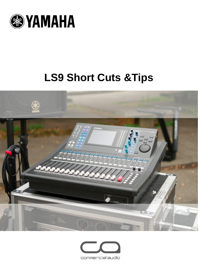

# **LS9 Short Cuts &Tips**



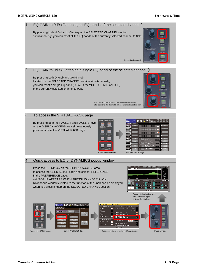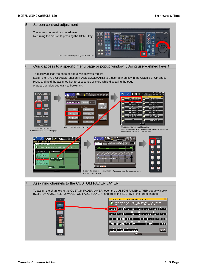

#### Quick access to a specific menu page or popup window (Using user-defined keys) 6.

To quickly access the page or popup window you require,

assign the PAGE CHANGE function (PAGE BOOKMARK) to a user-defined key in the USER SETUP page. Press and hold the assigned key for 2 seconds or more while displaying the page or popup window you want to bookmark.



#### Assigning channels to the CUSTOM FADER LAYER 7.

To assign the channels to the CUSTOM FADER LAYER, open the CUSTOM FADER LAYER popup window (SETUP>>>>USER SETUP>CUSTOM FADER LAYER), and press the SEL key of the target channel.

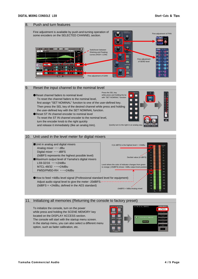#### Push and turn features 8. Fine adjustment is available by push-and-turning operation of Fine adjustment of PAN some encoders on the SELECTED CHANNEL section.  $FT$  / HPF / FQ LIB DEFT D Switchover between Shelving and Peaking curves (HIGH / LOW) Fine adjustment of SEND level  $0.70$  $0.70$  $\overline{\bullet}$  1.00k  $-125$ **C** 4.00k F C 10.0  $\circ$   $\bullet$  =4.0  $\circ$   $\circ$  =1.5  $\circ$   $\bullet$  =9.0  $\circ$   $\bullet$ Fine adjustment of GAIN  $CLOSE$ Reset the input channel to the nominal level 9. Press the SEL key while press and holding the ke ●Reset channel faders to nominal level with "SET NOMINAL" function To reset the channel faders to the nominal level, first assign "SET NOMINAL" function to one of the user-defined key. Then press the SEL key of the desired channel while press and holding the user-defined key with the SET NOMINAL function. ●Reset ST IN channel encoder to nominal level

To reset the ST IN channel encoder to the nominal level, turn the encoder knob to the right quickly and release it immediately (like an analog trim).



# 10. Unit used in the level meter for digital mixers



# 11. Initializing all memories (Returning the console to factory preset)